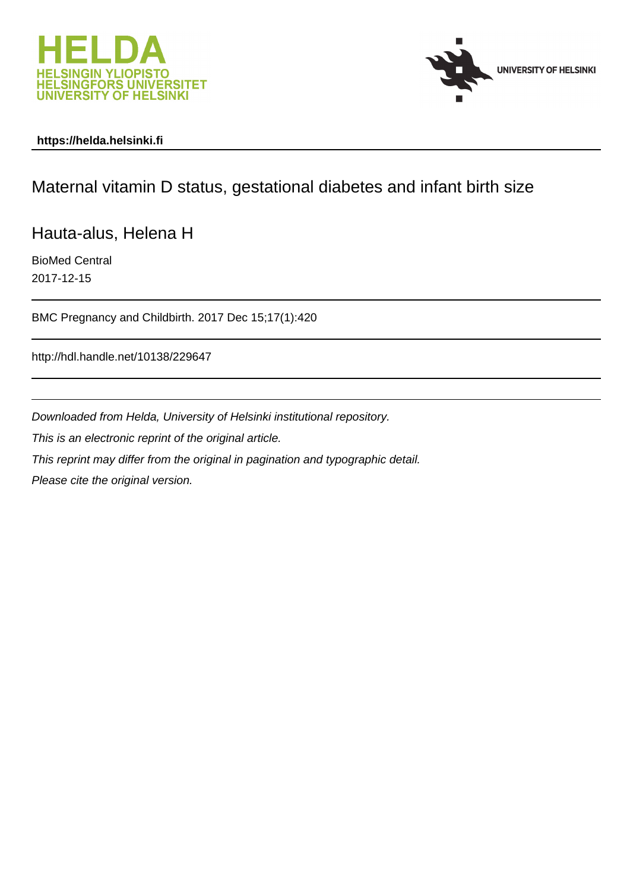



# **https://helda.helsinki.fi**

# Maternal vitamin D status, gestational diabetes and infant birth size

Hauta-alus, Helena H

BioMed Central 2017-12-15

BMC Pregnancy and Childbirth. 2017 Dec 15;17(1):420

http://hdl.handle.net/10138/229647

Downloaded from Helda, University of Helsinki institutional repository.

This is an electronic reprint of the original article.

This reprint may differ from the original in pagination and typographic detail.

Please cite the original version.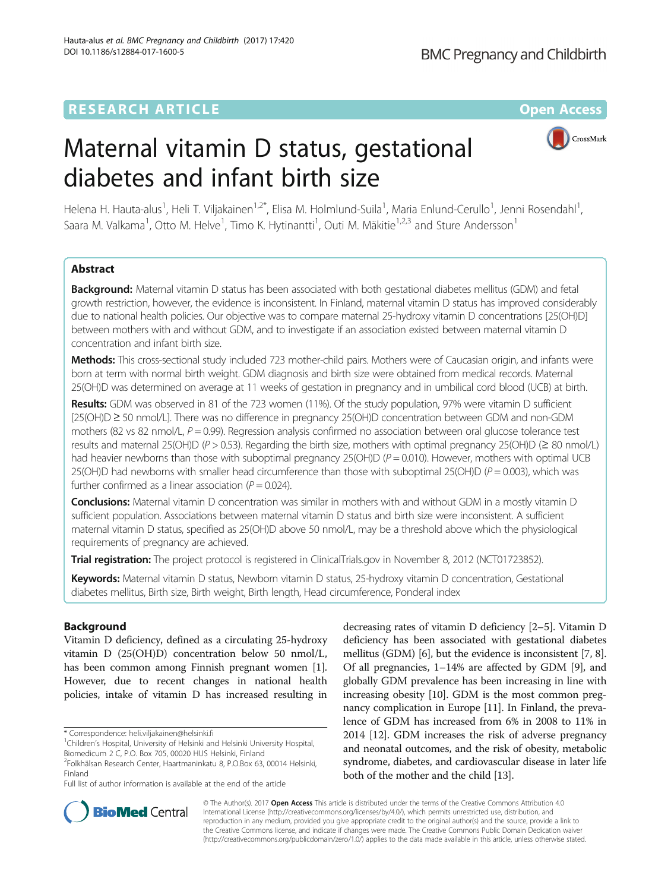# **RESEARCH ARTICLE Example 2014 12:30 The Contract of Contract ACCESS**

# Maternal vitamin D status, gestational diabetes and infant birth size



Helena H. Hauta-alus<sup>1</sup>, Heli T. Viljakainen<sup>1,2\*</sup>, Elisa M. Holmlund-Suila<sup>1</sup>, Maria Enlund-Cerullo<sup>1</sup>, Jenni Rosendahl<sup>1</sup> , Saara M. Valkama<sup>1</sup>, Otto M. Helve<sup>1</sup>, Timo K. Hytinantti<sup>1</sup>, Outi M. Mäkitie<sup>1,2,3</sup> and Sture Andersson<sup>1</sup>

# Abstract

Background: Maternal vitamin D status has been associated with both gestational diabetes mellitus (GDM) and fetal growth restriction, however, the evidence is inconsistent. In Finland, maternal vitamin D status has improved considerably due to national health policies. Our objective was to compare maternal 25-hydroxy vitamin D concentrations [25(OH)D] between mothers with and without GDM, and to investigate if an association existed between maternal vitamin D concentration and infant birth size.

Methods: This cross-sectional study included 723 mother-child pairs. Mothers were of Caucasian origin, and infants were born at term with normal birth weight. GDM diagnosis and birth size were obtained from medical records. Maternal 25(OH)D was determined on average at 11 weeks of gestation in pregnancy and in umbilical cord blood (UCB) at birth.

Results: GDM was observed in 81 of the 723 women (11%). Of the study population, 97% were vitamin D sufficient [25(OH)D ≥ 50 nmol/L]. There was no difference in pregnancy 25(OH)D concentration between GDM and non-GDM mothers (82 vs 82 nmol/L,  $P = 0.99$ ). Regression analysis confirmed no association between oral glucose tolerance test results and maternal 25(OH)D (P > 0.53). Regarding the birth size, mothers with optimal pregnancy 25(OH)D ( $\geq$  80 nmol/L) had heavier newborns than those with suboptimal pregnancy  $25(OH)D (P = 0.010)$ . However, mothers with optimal UCB 25(OH)D had newborns with smaller head circumference than those with suboptimal 25(OH)D ( $P = 0.003$ ), which was further confirmed as a linear association ( $P = 0.024$ ).

Conclusions: Maternal vitamin D concentration was similar in mothers with and without GDM in a mostly vitamin D sufficient population. Associations between maternal vitamin D status and birth size were inconsistent. A sufficient maternal vitamin D status, specified as 25(OH)D above 50 nmol/L, may be a threshold above which the physiological requirements of pregnancy are achieved.

Trial registration: The project protocol is registered in ClinicalTrials.gov in November 8, 2012 ([NCT01723852](https://clinicaltrials.gov/ct2/show/NCT01723852?term=NCT01723852&rank=1)).

Keywords: Maternal vitamin D status, Newborn vitamin D status, 25-hydroxy vitamin D concentration, Gestational diabetes mellitus, Birth size, Birth weight, Birth length, Head circumference, Ponderal index

# Background

Vitamin D deficiency, defined as a circulating 25-hydroxy vitamin D (25(OH)D) concentration below 50 nmol/L, has been common among Finnish pregnant women [1]. However, due to recent changes in national health policies, intake of vitamin D has increased resulting in

\* Correspondence: [heli.viljakainen@helsinki.fi](mailto:heli.viljakainen@helsinki.fi) <sup>1</sup>

Full list of author information is available at the end of the article

decreasing rates of vitamin D deficiency [2–5]. Vitamin D deficiency has been associated with gestational diabetes mellitus (GDM) [6], but the evidence is inconsistent [7, 8]. Of all pregnancies, 1–14% are affected by GDM [9], and globally GDM prevalence has been increasing in line with increasing obesity [10]. GDM is the most common pregnancy complication in Europe [11]. In Finland, the prevalence of GDM has increased from 6% in 2008 to 11% in 2014 [12]. GDM increases the risk of adverse pregnancy and neonatal outcomes, and the risk of obesity, metabolic syndrome, diabetes, and cardiovascular disease in later life both of the mother and the child [13].



© The Author(s). 2017 **Open Access** This article is distributed under the terms of the Creative Commons Attribution 4.0 International License [\(http://creativecommons.org/licenses/by/4.0/](http://creativecommons.org/licenses/by/4.0/)), which permits unrestricted use, distribution, and reproduction in any medium, provided you give appropriate credit to the original author(s) and the source, provide a link to the Creative Commons license, and indicate if changes were made. The Creative Commons Public Domain Dedication waiver [\(http://creativecommons.org/publicdomain/zero/1.0/](http://creativecommons.org/publicdomain/zero/1.0/)) applies to the data made available in this article, unless otherwise stated.

<sup>&</sup>lt;sup>1</sup>Children's Hospital, University of Helsinki and Helsinki University Hospital, Biomedicum 2 C, P.O. Box 705, 00020 HUS Helsinki, Finland

<sup>2</sup> Folkhälsan Research Center, Haartmaninkatu 8, P.O.Box 63, 00014 Helsinki, Finland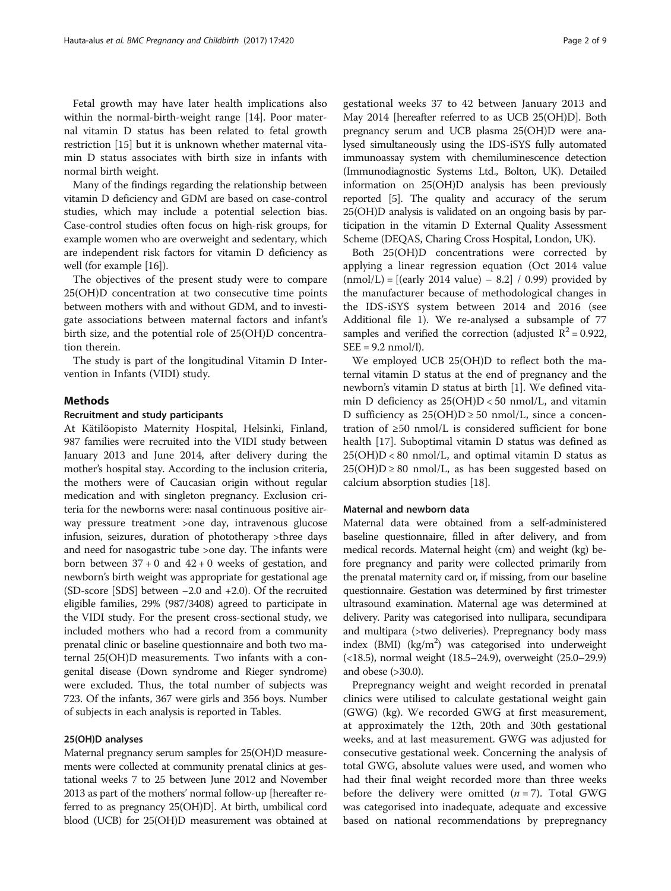Fetal growth may have later health implications also within the normal-birth-weight range [14]. Poor maternal vitamin D status has been related to fetal growth restriction [15] but it is unknown whether maternal vitamin D status associates with birth size in infants with normal birth weight.

Many of the findings regarding the relationship between vitamin D deficiency and GDM are based on case-control studies, which may include a potential selection bias. Case-control studies often focus on high-risk groups, for example women who are overweight and sedentary, which are independent risk factors for vitamin D deficiency as well (for example [16]).

The objectives of the present study were to compare 25(OH)D concentration at two consecutive time points between mothers with and without GDM, and to investigate associations between maternal factors and infant's birth size, and the potential role of 25(OH)D concentration therein.

The study is part of the longitudinal Vitamin D Intervention in Infants (VIDI) study.

# Methods

#### Recruitment and study participants

At Kätilöopisto Maternity Hospital, Helsinki, Finland, 987 families were recruited into the VIDI study between January 2013 and June 2014, after delivery during the mother's hospital stay. According to the inclusion criteria, the mothers were of Caucasian origin without regular medication and with singleton pregnancy. Exclusion criteria for the newborns were: nasal continuous positive airway pressure treatment >one day, intravenous glucose infusion, seizures, duration of phototherapy >three days and need for nasogastric tube >one day. The infants were born between  $37 + 0$  and  $42 + 0$  weeks of gestation, and newborn's birth weight was appropriate for gestational age (SD-score [SDS] between −2.0 and +2.0). Of the recruited eligible families, 29% (987/3408) agreed to participate in the VIDI study. For the present cross-sectional study, we included mothers who had a record from a community prenatal clinic or baseline questionnaire and both two maternal 25(OH)D measurements. Two infants with a congenital disease (Down syndrome and Rieger syndrome) were excluded. Thus, the total number of subjects was 723. Of the infants, 367 were girls and 356 boys. Number of subjects in each analysis is reported in Tables.

## 25(OH)D analyses

Maternal pregnancy serum samples for 25(OH)D measurements were collected at community prenatal clinics at gestational weeks 7 to 25 between June 2012 and November 2013 as part of the mothers' normal follow-up [hereafter referred to as pregnancy 25(OH)D]. At birth, umbilical cord blood (UCB) for 25(OH)D measurement was obtained at

gestational weeks 37 to 42 between January 2013 and May 2014 [hereafter referred to as UCB 25(OH)D]. Both pregnancy serum and UCB plasma 25(OH)D were analysed simultaneously using the IDS-iSYS fully automated immunoassay system with chemiluminescence detection (Immunodiagnostic Systems Ltd., Bolton, UK). Detailed information on 25(OH)D analysis has been previously reported [5]. The quality and accuracy of the serum 25(OH)D analysis is validated on an ongoing basis by participation in the vitamin D External Quality Assessment Scheme (DEQAS, Charing Cross Hospital, London, UK).

Both 25(OH)D concentrations were corrected by applying a linear regression equation (Oct 2014 value  $(mmol/L) = [(early 2014 value) - 8.2] / 0.99)$  provided by the manufacturer because of methodological changes in the IDS-iSYS system between 2014 and 2016 (see Additional file 1). We re-analysed a subsample of 77 samples and verified the correction (adjusted  $R^2 = 0.922$ ,  $SEE = 9.2 \text{ nmol/l}.$ 

We employed UCB 25(OH)D to reflect both the maternal vitamin D status at the end of pregnancy and the newborn's vitamin D status at birth [1]. We defined vitamin D deficiency as  $25(OH)D < 50$  nmol/L, and vitamin D sufficiency as  $25(OH)D \ge 50$  nmol/L, since a concentration of ≥50 nmol/L is considered sufficient for bone health [17]. Suboptimal vitamin D status was defined as  $25(OH)D < 80$  nmol/L, and optimal vitamin D status as  $25(OH)D \ge 80$  nmol/L, as has been suggested based on calcium absorption studies [18].

# Maternal and newborn data

Maternal data were obtained from a self-administered baseline questionnaire, filled in after delivery, and from medical records. Maternal height (cm) and weight (kg) before pregnancy and parity were collected primarily from the prenatal maternity card or, if missing, from our baseline questionnaire. Gestation was determined by first trimester ultrasound examination. Maternal age was determined at delivery. Parity was categorised into nullipara, secundipara and multipara (>two deliveries). Prepregnancy body mass index (BMI) (kg/m<sup>2</sup>) was categorised into underweight (<18.5), normal weight (18.5–24.9), overweight (25.0–29.9) and obese (>30.0).

Prepregnancy weight and weight recorded in prenatal clinics were utilised to calculate gestational weight gain (GWG) (kg). We recorded GWG at first measurement, at approximately the 12th, 20th and 30th gestational weeks, and at last measurement. GWG was adjusted for consecutive gestational week. Concerning the analysis of total GWG, absolute values were used, and women who had their final weight recorded more than three weeks before the delivery were omitted  $(n = 7)$ . Total GWG was categorised into inadequate, adequate and excessive based on national recommendations by prepregnancy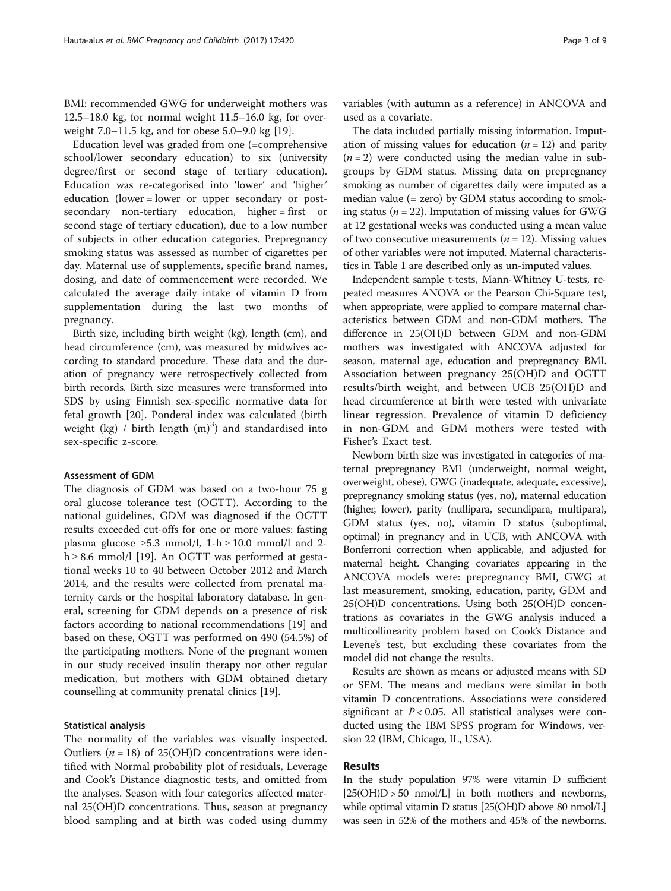BMI: recommended GWG for underweight mothers was 12.5–18.0 kg, for normal weight 11.5–16.0 kg, for overweight 7.0–11.5 kg, and for obese 5.0–9.0 kg [19].

Education level was graded from one (=comprehensive school/lower secondary education) to six (university degree/first or second stage of tertiary education). Education was re-categorised into 'lower' and 'higher' education (lower = lower or upper secondary or postsecondary non-tertiary education, higher = first or second stage of tertiary education), due to a low number of subjects in other education categories. Prepregnancy smoking status was assessed as number of cigarettes per day. Maternal use of supplements, specific brand names, dosing, and date of commencement were recorded. We calculated the average daily intake of vitamin D from supplementation during the last two months of pregnancy.

Birth size, including birth weight (kg), length (cm), and head circumference (cm), was measured by midwives according to standard procedure. These data and the duration of pregnancy were retrospectively collected from birth records. Birth size measures were transformed into SDS by using Finnish sex-specific normative data for fetal growth [20]. Ponderal index was calculated (birth weight (kg) / birth length  $(m)^3$ ) and standardised into sex-specific z-score.

#### Assessment of GDM

The diagnosis of GDM was based on a two-hour 75 g oral glucose tolerance test (OGTT). According to the national guidelines, GDM was diagnosed if the OGTT results exceeded cut-offs for one or more values: fasting plasma glucose ≥5.3 mmol/l, 1-h ≥ 10.0 mmol/l and 2h  $\geq 8.6$  mmol/l [19]. An OGTT was performed at gestational weeks 10 to 40 between October 2012 and March 2014, and the results were collected from prenatal maternity cards or the hospital laboratory database. In general, screening for GDM depends on a presence of risk factors according to national recommendations [19] and based on these, OGTT was performed on 490 (54.5%) of the participating mothers. None of the pregnant women in our study received insulin therapy nor other regular medication, but mothers with GDM obtained dietary counselling at community prenatal clinics [19].

# Statistical analysis

The normality of the variables was visually inspected. Outliers ( $n = 18$ ) of 25(OH)D concentrations were identified with Normal probability plot of residuals, Leverage and Cook's Distance diagnostic tests, and omitted from the analyses. Season with four categories affected maternal 25(OH)D concentrations. Thus, season at pregnancy blood sampling and at birth was coded using dummy

variables (with autumn as a reference) in ANCOVA and used as a covariate.

The data included partially missing information. Imputation of missing values for education  $(n = 12)$  and parity  $(n = 2)$  were conducted using the median value in subgroups by GDM status. Missing data on prepregnancy smoking as number of cigarettes daily were imputed as a median value (= zero) by GDM status according to smoking status ( $n = 22$ ). Imputation of missing values for GWG at 12 gestational weeks was conducted using a mean value of two consecutive measurements ( $n = 12$ ). Missing values of other variables were not imputed. Maternal characteristics in Table 1 are described only as un-imputed values.

Independent sample t-tests, Mann-Whitney U-tests, repeated measures ANOVA or the Pearson Chi-Square test, when appropriate, were applied to compare maternal characteristics between GDM and non-GDM mothers. The difference in 25(OH)D between GDM and non-GDM mothers was investigated with ANCOVA adjusted for season, maternal age, education and prepregnancy BMI. Association between pregnancy 25(OH)D and OGTT results/birth weight, and between UCB 25(OH)D and head circumference at birth were tested with univariate linear regression. Prevalence of vitamin D deficiency in non-GDM and GDM mothers were tested with Fisher's Exact test.

Newborn birth size was investigated in categories of maternal prepregnancy BMI (underweight, normal weight, overweight, obese), GWG (inadequate, adequate, excessive), prepregnancy smoking status (yes, no), maternal education (higher, lower), parity (nullipara, secundipara, multipara), GDM status (yes, no), vitamin D status (suboptimal, optimal) in pregnancy and in UCB, with ANCOVA with Bonferroni correction when applicable, and adjusted for maternal height. Changing covariates appearing in the ANCOVA models were: prepregnancy BMI, GWG at last measurement, smoking, education, parity, GDM and 25(OH)D concentrations. Using both 25(OH)D concentrations as covariates in the GWG analysis induced a multicollinearity problem based on Cook's Distance and Levene's test, but excluding these covariates from the model did not change the results.

Results are shown as means or adjusted means with SD or SEM. The means and medians were similar in both vitamin D concentrations. Associations were considered significant at  $P < 0.05$ . All statistical analyses were conducted using the IBM SPSS program for Windows, version 22 (IBM, Chicago, IL, USA).

# Results

In the study population 97% were vitamin D sufficient  $[25(OH)D > 50$  nmol/L] in both mothers and newborns, while optimal vitamin D status [25(OH)D above 80 nmol/L] was seen in 52% of the mothers and 45% of the newborns.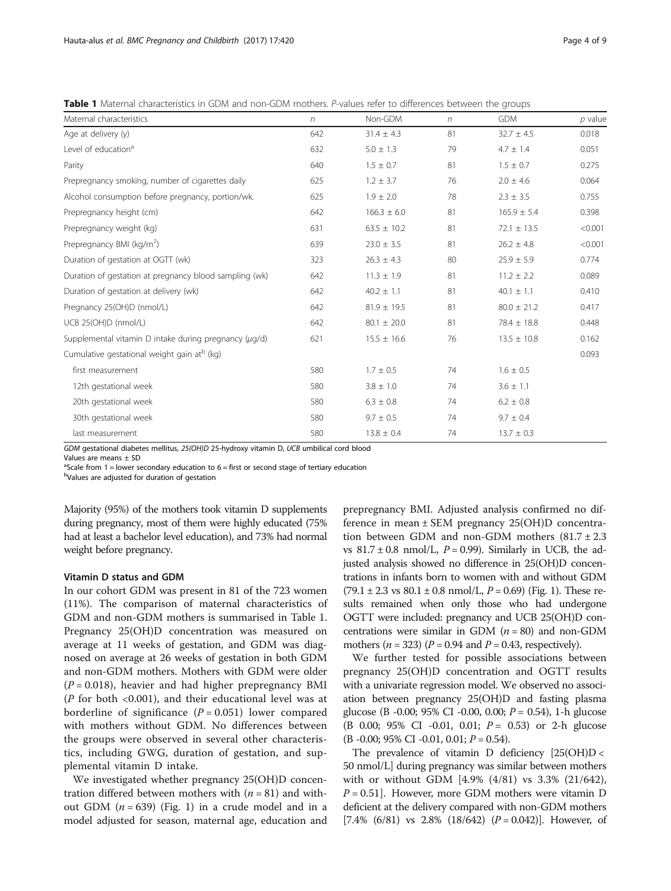Table 1 Maternal characteristics in GDM and non-GDM mothers. P-values refer to differences between the groups

| Maternal characteristics                                | n   | Non-GDM         | $\eta$ | <b>GDM</b>      | $p$ value |
|---------------------------------------------------------|-----|-----------------|--------|-----------------|-----------|
| Age at delivery (y)                                     | 642 | $31.4 \pm 4.3$  | 81     | $32.7 \pm 4.5$  | 0.018     |
| Level of education <sup>a</sup>                         | 632 | $5.0 \pm 1.3$   | 79     | $4.7 \pm 1.4$   | 0.051     |
| Parity                                                  | 640 | $1.5 \pm 0.7$   | 81     | $1.5 \pm 0.7$   | 0.275     |
| Prepregnancy smoking, number of cigarettes daily        | 625 | $1.2 \pm 3.7$   | 76     | $2.0 \pm 4.6$   | 0.064     |
| Alcohol consumption before pregnancy, portion/wk.       | 625 | $1.9 \pm 2.0$   | 78     | $2.3 \pm 3.5$   | 0.755     |
| Prepregnancy height (cm)                                | 642 | $166.3 \pm 6.0$ | 81     | $165.9 \pm 5.4$ | 0.398     |
| Prepregnancy weight (kg)                                | 631 | $63.5 \pm 10.2$ | 81     | $72.1 \pm 13.5$ | < 0.001   |
| Prepregnancy BMI (kg/m <sup>2</sup> )                   | 639 | $23.0 \pm 3.5$  | 81     | $26.2 \pm 4.8$  | < 0.001   |
| Duration of gestation at OGTT (wk)                      | 323 | $26.3 \pm 4.3$  | 80     | $25.9 \pm 5.9$  | 0.774     |
| Duration of gestation at pregnancy blood sampling (wk)  | 642 | $11.3 \pm 1.9$  | 81     | $11.2 \pm 2.2$  | 0.089     |
| Duration of gestation at delivery (wk)                  | 642 | $40.2 \pm 1.1$  | 81     | $40.1 \pm 1.1$  | 0.410     |
| Pregnancy 25(OH)D (nmol/L)                              | 642 | $81.9 \pm 19.5$ | 81     | $80.0 \pm 21.2$ | 0.417     |
| UCB 25(OH)D (nmol/L)                                    | 642 | $80.1 \pm 20.0$ | 81     | $78.4 \pm 18.8$ | 0.448     |
| Supplemental vitamin D intake during pregnancy (µg/d)   | 621 | $15.5 \pm 16.6$ | 76     | $13.5 \pm 10.8$ | 0.162     |
| Cumulative gestational weight gain at <sup>b</sup> (kg) |     |                 |        |                 | 0.093     |
| first measurement                                       | 580 | $1.7 \pm 0.5$   | 74     | $1.6 \pm 0.5$   |           |
| 12th gestational week                                   | 580 | $3.8 \pm 1.0$   | 74     | $3.6 \pm 1.1$   |           |
| 20th gestational week                                   | 580 | $6.3 \pm 0.8$   | 74     | $6.2 \pm 0.8$   |           |
| 30th gestational week                                   | 580 | $9.7 \pm 0.5$   | 74     | $9.7 \pm 0.4$   |           |
| last measurement                                        | 580 | $13.8 \pm 0.4$  | 74     | $13.7 \pm 0.3$  |           |

GDM gestational diabetes mellitus, 25(OH)D 25-hydroxy vitamin D, UCB umbilical cord blood

Values are means ± SD

<sup>a</sup>Scale from 1 = lower secondary education to 6 = first or second stage of tertiary education

<sup>b</sup>Values are adjusted for duration of gestation

Majority (95%) of the mothers took vitamin D supplements during pregnancy, most of them were highly educated (75% had at least a bachelor level education), and 73% had normal weight before pregnancy.

# Vitamin D status and GDM

In our cohort GDM was present in 81 of the 723 women (11%). The comparison of maternal characteristics of GDM and non-GDM mothers is summarised in Table 1. Pregnancy 25(OH)D concentration was measured on average at 11 weeks of gestation, and GDM was diagnosed on average at 26 weeks of gestation in both GDM and non-GDM mothers. Mothers with GDM were older  $(P = 0.018)$ , heavier and had higher prepregnancy BMI ( $P$  for both <0.001), and their educational level was at borderline of significance  $(P = 0.051)$  lower compared with mothers without GDM. No differences between the groups were observed in several other characteristics, including GWG, duration of gestation, and supplemental vitamin D intake.

We investigated whether pregnancy 25(OH)D concentration differed between mothers with  $(n = 81)$  and without GDM  $(n = 639)$  (Fig. 1) in a crude model and in a model adjusted for season, maternal age, education and

prepregnancy BMI. Adjusted analysis confirmed no difference in mean ± SEM pregnancy 25(OH)D concentration between GDM and non-GDM mothers  $(81.7 \pm 2.3)$ vs  $81.7 \pm 0.8$  nmol/L,  $P = 0.99$ ). Similarly in UCB, the adjusted analysis showed no difference in 25(OH)D concentrations in infants born to women with and without GDM  $(79.1 \pm 2.3 \text{ vs } 80.1 \pm 0.8 \text{ nmol/L}, P = 0.69)$  (Fig. 1). These results remained when only those who had undergone OGTT were included: pregnancy and UCB 25(OH)D concentrations were similar in GDM  $(n = 80)$  and non-GDM mothers ( $n = 323$ ) ( $P = 0.94$  and  $P = 0.43$ , respectively).

We further tested for possible associations between pregnancy 25(OH)D concentration and OGTT results with a univariate regression model. We observed no association between pregnancy 25(OH)D and fasting plasma glucose (B -0.00; 95% CI -0.00, 0.00;  $P = 0.54$ ), 1-h glucose (B 0.00; 95% CI -0.01, 0.01;  $P = 0.53$ ) or 2-h glucose  $(B - 0.00; 95\% \text{ CI } -0.01, 0.01; P = 0.54).$ 

The prevalence of vitamin D deficiency  $[25(OH)D \leftarrow$ 50 nmol/L] during pregnancy was similar between mothers with or without GDM [4.9% (4/81) vs 3.3% (21/642),  $P = 0.51$ . However, more GDM mothers were vitamin D deficient at the delivery compared with non-GDM mothers [7.4% (6/81) vs 2.8% (18/642)  $(P = 0.042)$ ]. However, of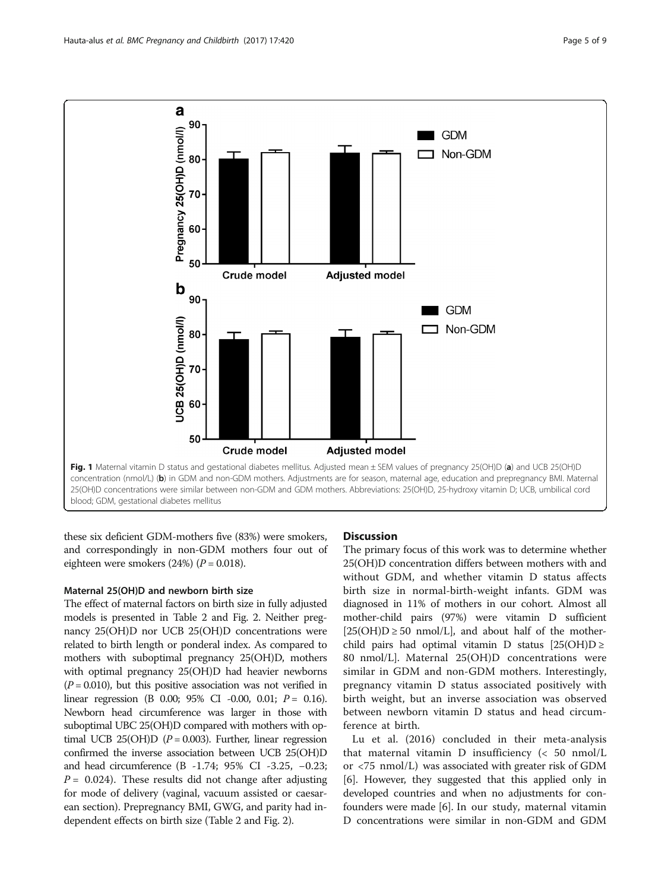

these six deficient GDM-mothers five (83%) were smokers, and correspondingly in non-GDM mothers four out of eighteen were smokers  $(24%)$   $(P = 0.018)$ .

## Maternal 25(OH)D and newborn birth size

The effect of maternal factors on birth size in fully adjusted models is presented in Table 2 and Fig. 2. Neither pregnancy 25(OH)D nor UCB 25(OH)D concentrations were related to birth length or ponderal index. As compared to mothers with suboptimal pregnancy 25(OH)D, mothers with optimal pregnancy 25(OH)D had heavier newborns  $(P = 0.010)$ , but this positive association was not verified in linear regression (B 0.00; 95% CI -0.00, 0.01;  $P = 0.16$ ). Newborn head circumference was larger in those with suboptimal UBC 25(OH)D compared with mothers with optimal UCB 25(OH)D ( $P = 0.003$ ). Further, linear regression confirmed the inverse association between UCB 25(OH)D and head circumference (B -1.74; 95% CI -3.25, −0.23;  $P = 0.024$ ). These results did not change after adjusting for mode of delivery (vaginal, vacuum assisted or caesarean section). Prepregnancy BMI, GWG, and parity had independent effects on birth size (Table 2 and Fig. 2).

# **Discussion**

The primary focus of this work was to determine whether 25(OH)D concentration differs between mothers with and without GDM, and whether vitamin D status affects birth size in normal-birth-weight infants. GDM was diagnosed in 11% of mothers in our cohort. Almost all mother-child pairs (97%) were vitamin D sufficient  $[25(OH)D \ge 50 \text{ nmol/L}]$ , and about half of the motherchild pairs had optimal vitamin D status  $[25(OH)D \ge$ 80 nmol/L]. Maternal 25(OH)D concentrations were similar in GDM and non-GDM mothers. Interestingly, pregnancy vitamin D status associated positively with birth weight, but an inverse association was observed between newborn vitamin D status and head circumference at birth.

Lu et al. (2016) concluded in their meta-analysis that maternal vitamin D insufficiency (< 50 nmol/L or <75 nmol/L) was associated with greater risk of GDM [6]. However, they suggested that this applied only in developed countries and when no adjustments for confounders were made [6]. In our study, maternal vitamin D concentrations were similar in non-GDM and GDM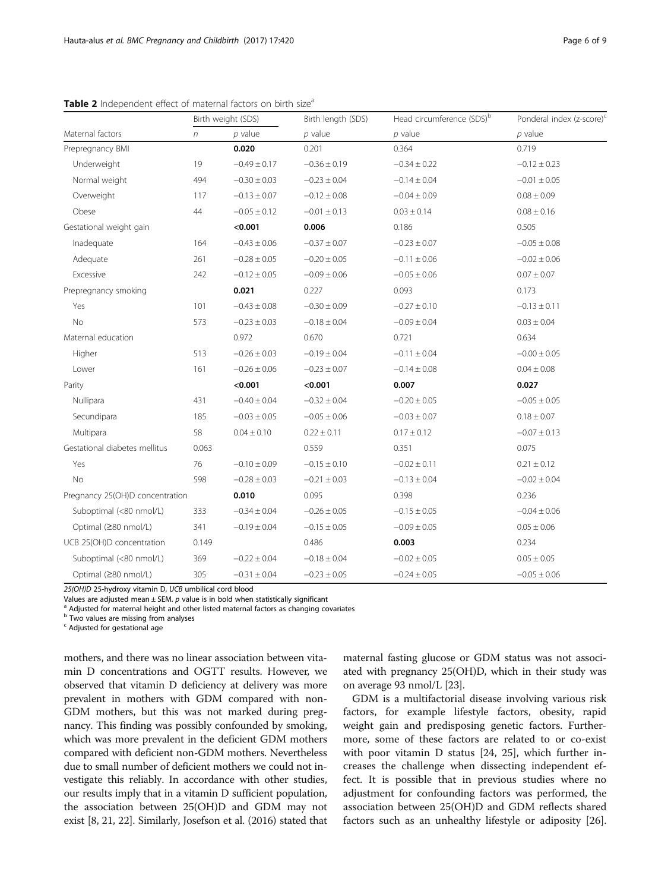|                                 | Birth weight (SDS) |                  | Birth length (SDS) | Head circumference (SDS) <sup>b</sup> | Ponderal index (z-score) <sup>c</sup> |  |
|---------------------------------|--------------------|------------------|--------------------|---------------------------------------|---------------------------------------|--|
| Maternal factors                | $\eta$             | $p$ value        | $p$ value          | $p$ value                             | $p$ value                             |  |
| Prepregnancy BMI                |                    | 0.020            | 0.201              | 0.364                                 | 0.719                                 |  |
| Underweight                     | 19                 | $-0.49 \pm 0.17$ | $-0.36 \pm 0.19$   | $-0.34 \pm 0.22$                      | $-0.12 \pm 0.23$                      |  |
| Normal weight                   | 494                | $-0.30 \pm 0.03$ | $-0.23 \pm 0.04$   | $-0.14 \pm 0.04$                      | $-0.01 \pm 0.05$                      |  |
| Overweight                      | 117                | $-0.13 \pm 0.07$ | $-0.12 \pm 0.08$   | $-0.04 \pm 0.09$                      | $0.08 \pm 0.09$                       |  |
| Obese                           | 44                 | $-0.05 \pm 0.12$ | $-0.01 \pm 0.13$   | $0.03 \pm 0.14$                       | $0.08 \pm 0.16$                       |  |
| Gestational weight gain         |                    | < 0.001          | 0.006              | 0.186                                 | 0.505                                 |  |
| Inadequate                      | 164                | $-0.43 \pm 0.06$ | $-0.37 \pm 0.07$   | $-0.23 \pm 0.07$                      | $-0.05 \pm 0.08$                      |  |
| Adequate                        | 261                | $-0.28 \pm 0.05$ | $-0.20 \pm 0.05$   | $-0.11 \pm 0.06$                      | $-0.02 \pm 0.06$                      |  |
| Excessive                       | 242                | $-0.12 \pm 0.05$ | $-0.09 \pm 0.06$   | $-0.05 \pm 0.06$                      | $0.07\pm0.07$                         |  |
| Prepregnancy smoking            |                    | 0.021            | 0.227              | 0.093                                 | 0.173                                 |  |
| Yes                             | 101                | $-0.43 \pm 0.08$ | $-0.30 \pm 0.09$   | $-0.27 \pm 0.10$                      | $-0.13 \pm 0.11$                      |  |
| No                              | 573                | $-0.23 \pm 0.03$ | $-0.18 \pm 0.04$   | $-0.09 \pm 0.04$                      | $0.03 \pm 0.04$                       |  |
| Maternal education              |                    | 0.972            | 0.670              | 0.721                                 | 0.634                                 |  |
| Higher                          | 513                | $-0.26 \pm 0.03$ | $-0.19 \pm 0.04$   | $-0.11 \pm 0.04$                      | $-0.00 \pm 0.05$                      |  |
| Lower                           | 161                | $-0.26 \pm 0.06$ | $-0.23 \pm 0.07$   | $-0.14 \pm 0.08$                      | $0.04 \pm 0.08$                       |  |
| Parity                          |                    | < 0.001          | < 0.001            | 0.007                                 | 0.027                                 |  |
| Nullipara                       | 431                | $-0.40 \pm 0.04$ | $-0.32 \pm 0.04$   | $-0.20 \pm 0.05$                      | $-0.05 \pm 0.05$                      |  |
| Secundipara                     | 185                | $-0.03 \pm 0.05$ | $-0.05 \pm 0.06$   | $-0.03 \pm 0.07$                      | $0.18 \pm 0.07$                       |  |
| Multipara                       | 58                 | $0.04 \pm 0.10$  | $0.22 \pm 0.11$    | $0.17 \pm 0.12$                       | $-0.07 \pm 0.13$                      |  |
| Gestational diabetes mellitus   | 0.063              |                  | 0.559              | 0.351                                 | 0.075                                 |  |
| Yes                             | 76                 | $-0.10 \pm 0.09$ | $-0.15 \pm 0.10$   | $-0.02 \pm 0.11$                      | $0.21 \pm 0.12$                       |  |
| No                              | 598                | $-0.28 \pm 0.03$ | $-0.21 \pm 0.03$   | $-0.13 \pm 0.04$                      | $-0.02 \pm 0.04$                      |  |
| Pregnancy 25(OH)D concentration |                    | 0.010            | 0.095              | 0.398                                 | 0.236                                 |  |
| Suboptimal (<80 nmol/L)         | 333                | $-0.34 \pm 0.04$ | $-0.26 \pm 0.05$   | $-0.15 \pm 0.05$                      | $-0.04 \pm 0.06$                      |  |
| Optimal (≥80 nmol/L)            | 341                | $-0.19 \pm 0.04$ | $-0.15 \pm 0.05$   | $-0.09 \pm 0.05$                      | $0.05 \pm 0.06$                       |  |
| UCB 25(OH)D concentration       | 0.149              |                  | 0.486              | 0.003                                 | 0.234                                 |  |
| Suboptimal (<80 nmol/L)         | 369                | $-0.22 \pm 0.04$ | $-0.18 \pm 0.04$   | $-0.02 \pm 0.05$                      | $0.05 \pm 0.05$                       |  |
| Optimal (≥80 nmol/L)            | 305                | $-0.31 \pm 0.04$ | $-0.23 \pm 0.05$   | $-0.24 \pm 0.05$                      | $-0.05 \pm 0.06$                      |  |

Table 2 Independent effect of maternal factors on birth size<sup>a</sup>

25(OH)D 25-hydroxy vitamin D, UCB umbilical cord blood

Values are adjusted mean  $\pm$  SEM. p value is in bold when statistically significant a Adjusted for maternal height and other listed maternal factors as changing covariates

 $<sup>b</sup>$  Two values are missing from analyses</sup>

 $c$  Adjusted for gestational age

mothers, and there was no linear association between vitamin D concentrations and OGTT results. However, we observed that vitamin D deficiency at delivery was more prevalent in mothers with GDM compared with non-GDM mothers, but this was not marked during pregnancy. This finding was possibly confounded by smoking, which was more prevalent in the deficient GDM mothers compared with deficient non-GDM mothers. Nevertheless due to small number of deficient mothers we could not investigate this reliably. In accordance with other studies, our results imply that in a vitamin D sufficient population, the association between 25(OH)D and GDM may not exist [8, 21, 22]. Similarly, Josefson et al. (2016) stated that maternal fasting glucose or GDM status was not associated with pregnancy 25(OH)D, which in their study was on average 93 nmol/L [23].

GDM is a multifactorial disease involving various risk factors, for example lifestyle factors, obesity, rapid weight gain and predisposing genetic factors. Furthermore, some of these factors are related to or co-exist with poor vitamin D status [24, 25], which further increases the challenge when dissecting independent effect. It is possible that in previous studies where no adjustment for confounding factors was performed, the association between 25(OH)D and GDM reflects shared factors such as an unhealthy lifestyle or adiposity [26].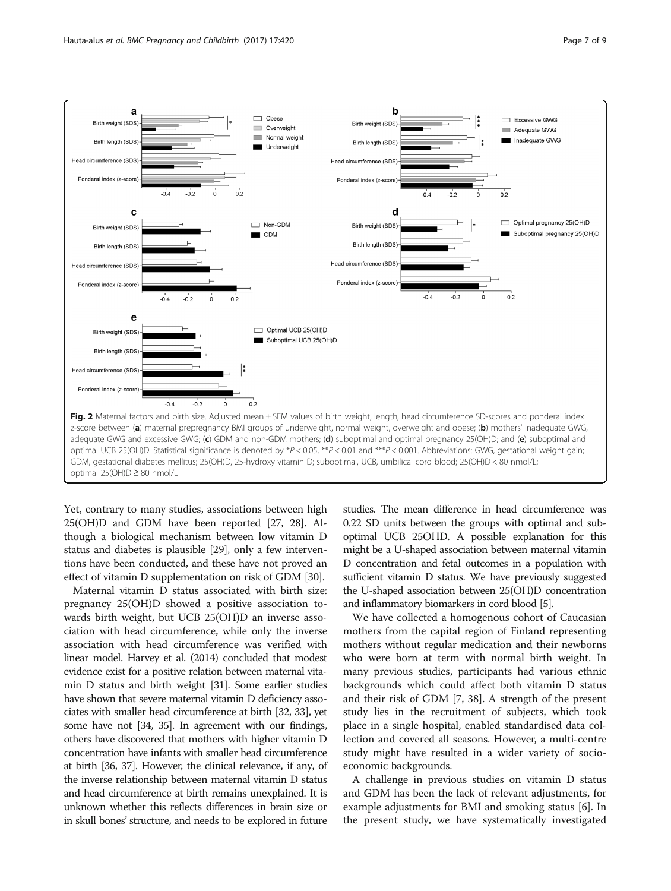

Yet, contrary to many studies, associations between high 25(OH)D and GDM have been reported [27, 28]. Although a biological mechanism between low vitamin D status and diabetes is plausible [29], only a few interventions have been conducted, and these have not proved an effect of vitamin D supplementation on risk of GDM [30].

Maternal vitamin D status associated with birth size: pregnancy 25(OH)D showed a positive association towards birth weight, but UCB 25(OH)D an inverse association with head circumference, while only the inverse association with head circumference was verified with linear model. Harvey et al. (2014) concluded that modest evidence exist for a positive relation between maternal vitamin D status and birth weight [31]. Some earlier studies have shown that severe maternal vitamin D deficiency associates with smaller head circumference at birth [32, 33], yet some have not [34, 35]. In agreement with our findings, others have discovered that mothers with higher vitamin D concentration have infants with smaller head circumference at birth [36, 37]. However, the clinical relevance, if any, of the inverse relationship between maternal vitamin D status and head circumference at birth remains unexplained. It is unknown whether this reflects differences in brain size or in skull bones' structure, and needs to be explored in future

studies. The mean difference in head circumference was 0.22 SD units between the groups with optimal and suboptimal UCB 25OHD. A possible explanation for this might be a U-shaped association between maternal vitamin D concentration and fetal outcomes in a population with sufficient vitamin D status. We have previously suggested the U-shaped association between 25(OH)D concentration and inflammatory biomarkers in cord blood [5].

We have collected a homogenous cohort of Caucasian mothers from the capital region of Finland representing mothers without regular medication and their newborns who were born at term with normal birth weight. In many previous studies, participants had various ethnic backgrounds which could affect both vitamin D status and their risk of GDM [7, 38]. A strength of the present study lies in the recruitment of subjects, which took place in a single hospital, enabled standardised data collection and covered all seasons. However, a multi-centre study might have resulted in a wider variety of socioeconomic backgrounds.

A challenge in previous studies on vitamin D status and GDM has been the lack of relevant adjustments, for example adjustments for BMI and smoking status [6]. In the present study, we have systematically investigated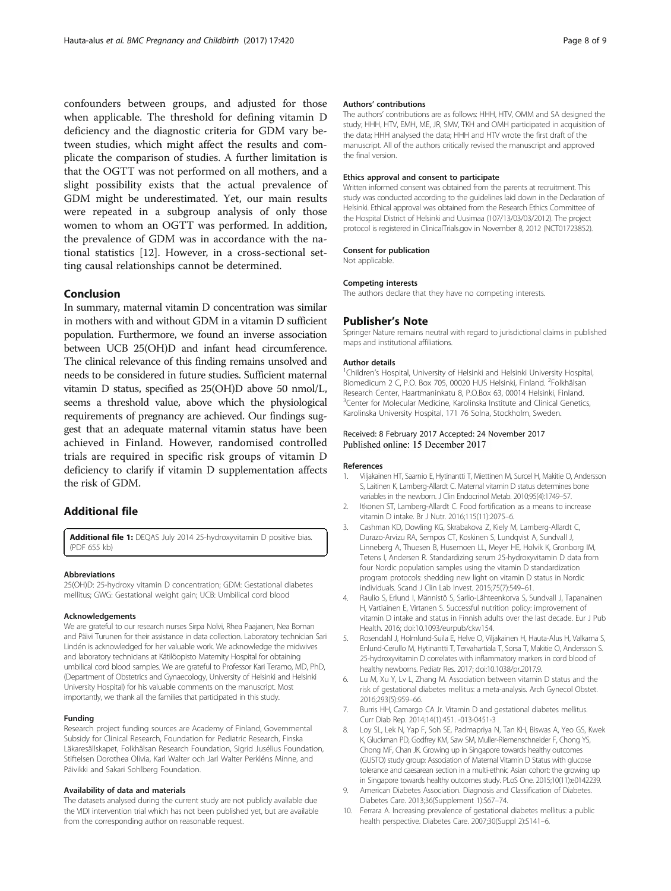confounders between groups, and adjusted for those when applicable. The threshold for defining vitamin D deficiency and the diagnostic criteria for GDM vary between studies, which might affect the results and complicate the comparison of studies. A further limitation is that the OGTT was not performed on all mothers, and a slight possibility exists that the actual prevalence of GDM might be underestimated. Yet, our main results were repeated in a subgroup analysis of only those women to whom an OGTT was performed. In addition, the prevalence of GDM was in accordance with the national statistics [12]. However, in a cross-sectional setting causal relationships cannot be determined.

# Conclusion

In summary, maternal vitamin D concentration was similar in mothers with and without GDM in a vitamin D sufficient population. Furthermore, we found an inverse association between UCB 25(OH)D and infant head circumference. The clinical relevance of this finding remains unsolved and needs to be considered in future studies. Sufficient maternal vitamin D status, specified as 25(OH)D above 50 nmol/L, seems a threshold value, above which the physiological requirements of pregnancy are achieved. Our findings suggest that an adequate maternal vitamin status have been achieved in Finland. However, randomised controlled trials are required in specific risk groups of vitamin D deficiency to clarify if vitamin D supplementation affects the risk of GDM.

# Additional file

[Additional file 1:](dx.doi.org/10.1186/s12884-017-1600-5) DEQAS July 2014 25-hydroxyvitamin D positive bias. (PDF 655 kb)

#### Abbreviations

25(OH)D: 25-hydroxy vitamin D concentration; GDM: Gestational diabetes mellitus; GWG: Gestational weight gain; UCB: Umbilical cord blood

#### Acknowledgements

We are grateful to our research nurses Sirpa Nolvi, Rhea Paajanen, Nea Boman and Päivi Turunen for their assistance in data collection. Laboratory technician Sari Lindén is acknowledged for her valuable work. We acknowledge the midwives and laboratory technicians at Kätilöopisto Maternity Hospital for obtaining umbilical cord blood samples. We are grateful to Professor Kari Teramo, MD, PhD, (Department of Obstetrics and Gynaecology, University of Helsinki and Helsinki University Hospital) for his valuable comments on the manuscript. Most importantly, we thank all the families that participated in this study.

#### Funding

Research project funding sources are Academy of Finland, Governmental Subsidy for Clinical Research, Foundation for Pediatric Research, Finska Läkaresällskapet, Folkhälsan Research Foundation, Sigrid Jusélius Foundation, Stiftelsen Dorothea Olivia, Karl Walter och Jarl Walter Perkléns Minne, and Päivikki and Sakari Sohlberg Foundation.

#### Availability of data and materials

The datasets analysed during the current study are not publicly available due the VIDI intervention trial which has not been published yet, but are available from the corresponding author on reasonable request.

#### Authors' contributions

The authors' contributions are as follows: HHH, HTV, OMM and SA designed the study; HHH, HTV, EMH, ME, JR, SMV, TKH and OMH participated in acquisition of the data; HHH analysed the data; HHH and HTV wrote the first draft of the manuscript. All of the authors critically revised the manuscript and approved the final version.

### Ethics approval and consent to participate

Written informed consent was obtained from the parents at recruitment. This study was conducted according to the guidelines laid down in the Declaration of Helsinki. Ethical approval was obtained from the Research Ethics Committee of the Hospital District of Helsinki and Uusimaa (107/13/03/03/2012). The project protocol is registered in ClinicalTrials.gov in November 8, 2012 (NCT01723852).

### Consent for publication

Not applicable.

#### Competing interests

The authors declare that they have no competing interests.

# Publisher's Note

Springer Nature remains neutral with regard to jurisdictional claims in published maps and institutional affiliations.

#### Author details

<sup>1</sup>Children's Hospital, University of Helsinki and Helsinki University Hospital Biomedicum 2 C, P.O. Box 705, 00020 HUS Helsinki, Finland. <sup>2</sup>Folkhälsan Research Center, Haartmaninkatu 8, P.O.Box 63, 00014 Helsinki, Finland. <sup>3</sup> Center for Molecular Medicine, Karolinska Institute and Clinical Genetics, Karolinska University Hospital, 171 76 Solna, Stockholm, Sweden.

#### Received: 8 February 2017 Accepted: 24 November 2017 Published online: 15 December 2017

#### References

- 1. Viljakainen HT, Saarnio E, Hytinantti T, Miettinen M, Surcel H, Makitie O, Andersson S, Laitinen K, Lamberg-Allardt C. Maternal vitamin D status determines bone variables in the newborn. J Clin Endocrinol Metab. 2010;95(4):1749–57.
- 2. Itkonen ST, Lamberg-Allardt C. Food fortification as a means to increase vitamin D intake. Br J Nutr. 2016;115(11):2075–6.
- 3. Cashman KD, Dowling KG, Skrabakova Z, Kiely M, Lamberg-Allardt C, Durazo-Arvizu RA, Sempos CT, Koskinen S, Lundqvist A, Sundvall J, Linneberg A, Thuesen B, Husemoen LL, Meyer HE, Holvik K, Gronborg IM, Tetens I, Andersen R. Standardizing serum 25-hydroxyvitamin D data from four Nordic population samples using the vitamin D standardization program protocols: shedding new light on vitamin D status in Nordic individuals. Scand J Clin Lab Invest. 2015;75(7):549–61.
- 4. Raulio S, Erlund I, Männistö S, Sarlio-Lähteenkorva S, Sundvall J, Tapanainen H, Vartiainen E, Virtanen S. Successful nutrition policy: improvement of vitamin D intake and status in Finnish adults over the last decade. Eur J Pub Health. 2016; doi:[10.1093/eurpub/ckw154](http://dx.doi.org/10.1093/eurpub/ckw154).
- 5. Rosendahl J, Holmlund-Suila E, Helve O, Viljakainen H, Hauta-Alus H, Valkama S, Enlund-Cerullo M, Hytinantti T, Tervahartiala T, Sorsa T, Makitie O, Andersson S. 25-hydroxyvitamin D correlates with inflammatory markers in cord blood of healthy newborns. Pediatr Res. 2017; doi[:10.1038/pr.2017.9](http://dx.doi.org/10.1038/pr.2017.9).
- 6. Lu M, Xu Y, Lv L, Zhang M. Association between vitamin D status and the risk of gestational diabetes mellitus: a meta-analysis. Arch Gynecol Obstet. 2016;293(5):959–66.
- 7. Burris HH, Camargo CA Jr. Vitamin D and gestational diabetes mellitus. Curr Diab Rep. 2014;14(1):451. -013-0451-3
- Loy SL, Lek N, Yap F, Soh SE, Padmapriya N, Tan KH, Biswas A, Yeo GS, Kwek K, Gluckman PD, Godfrey KM, Saw SM, Muller-Riemenschneider F, Chong YS, Chong MF, Chan JK. Growing up in Singapore towards healthy outcomes (GUSTO) study group: Association of Maternal Vitamin D Status with glucose tolerance and caesarean section in a multi-ethnic Asian cohort: the growing up in Singapore towards healthy outcomes study. PLoS One. 2015;10(11):e0142239.
- 9. American Diabetes Association. Diagnosis and Classification of Diabetes. Diabetes Care. 2013;36(Supplement 1):S67–74.
- 10. Ferrara A. Increasing prevalence of gestational diabetes mellitus: a public health perspective. Diabetes Care. 2007;30(Suppl 2):S141–6.